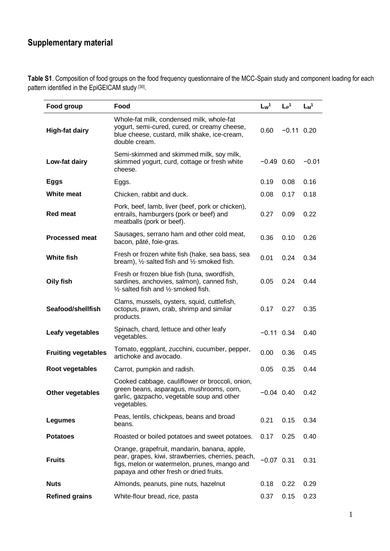# **Supplementary material**

**Table S1**. Composition of food groups on the food frequency questionnaire of the MCC-Spain study and component loading for each pattern identified in the EpiGEICAM study [30].

| Food group                 | Food                                                                                                                                                                                                                                                                                                          | Lw <sup>1</sup> | $L_{P}$ <sup>1</sup> | $L_M^1$ |
|----------------------------|---------------------------------------------------------------------------------------------------------------------------------------------------------------------------------------------------------------------------------------------------------------------------------------------------------------|-----------------|----------------------|---------|
| <b>High-fat dairy</b>      | Whole-fat milk, condensed milk, whole-fat<br>yogurt, semi-cured, cured, or creamy cheese,<br>blue cheese, custard, milk shake, ice-cream,<br>double cream.                                                                                                                                                    | 0.60            | $-0.11$ 0.20         |         |
| Low-fat dairy              | Semi-skimmed and skimmed milk, soy milk,<br>skimmed yogurt, curd, cottage or fresh white<br>cheese.                                                                                                                                                                                                           | $-0.49$ 0.60    |                      | $-0.01$ |
| Eggs                       | Eggs.                                                                                                                                                                                                                                                                                                         | 0.19            | 0.08                 | 0.16    |
| <b>White meat</b>          | Chicken, rabbit and duck.                                                                                                                                                                                                                                                                                     | 0.08            | 0.17                 | 0.18    |
| <b>Red meat</b>            | Pork, beef, lamb, liver (beef, pork or chicken),<br>entrails, hamburgers (pork or beef) and<br>meatballs (pork or beef).                                                                                                                                                                                      | 0.27            | 0.09                 | 0.22    |
| <b>Processed meat</b>      | Sausages, serrano ham and other cold meat,<br>bacon, pâté, foie-gras.                                                                                                                                                                                                                                         | 0.36            | 0.10                 | 0.26    |
| <b>White fish</b>          | Fresh or frozen white fish (hake, sea bass, sea<br>bream), $\frac{1}{2}$ -salted fish and $\frac{1}{2}$ -smoked fish.                                                                                                                                                                                         | 0.01            | 0.24                 | 0.34    |
| Oily fish                  | Fresh or frozen blue fish (tuna, swordfish,<br>sardines, anchovies, salmon), canned fish,<br>$\frac{1}{2}$ -salted fish and $\frac{1}{2}$ -smoked fish.                                                                                                                                                       | 0.05            | 0.24                 | 0.44    |
| Seafood/shellfish          | Clams, mussels, oysters, squid, cuttlefish,<br>octopus, prawn, crab, shrimp and similar<br>products.                                                                                                                                                                                                          |                 | 0.27                 | 0.35    |
| Leafy vegetables           | Spinach, chard, lettuce and other leafy<br>vegetables.<br>Tomato, eggplant, zucchini, cucumber, pepper,<br>artichoke and avocado.<br>Carrot, pumpkin and radish.<br>Cooked cabbage, cauliflower or broccoli, onion,<br>green beans, asparagus, mushrooms, corn,<br>garlic, gazpacho, vegetable soup and other |                 | $-0.11$ 0.34         | 0.40    |
| <b>Fruiting vegetables</b> |                                                                                                                                                                                                                                                                                                               | 0.00            | 0.36                 | 0.45    |
| Root vegetables            |                                                                                                                                                                                                                                                                                                               | 0.05            | 0.35                 | 0.44    |
| Other vegetables           | vegetables.                                                                                                                                                                                                                                                                                                   | $-0.04$ 0.40    |                      | 0.42    |
| <b>Legumes</b>             | Peas, lentils, chickpeas, beans and broad<br>beans.                                                                                                                                                                                                                                                           | 0.21            | 0.15                 | 0.34    |
| <b>Potatoes</b>            | Roasted or boiled potatoes and sweet potatoes.                                                                                                                                                                                                                                                                | 0.17            | 0.25                 | 0.40    |
| <b>Fruits</b>              | Orange, grapefruit, mandarin, banana, apple,<br>pear, grapes, kiwi, strawberries, cherries, peach,<br>figs, melon or watermelon, prunes, mango and<br>papaya and other fresh or dried fruits.                                                                                                                 | $-0.07$ 0.31    |                      | 0.31    |
| <b>Nuts</b>                | Almonds, peanuts, pine nuts, hazelnut                                                                                                                                                                                                                                                                         | 0.18            | 0.22                 | 0.29    |
| <b>Refined grains</b>      | White-flour bread, rice, pasta                                                                                                                                                                                                                                                                                | 0.37            | 0.15                 | 0.23    |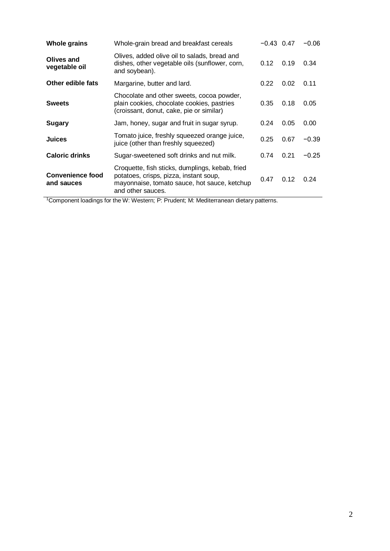| <b>Whole grains</b>                   | Whole-grain bread and breakfast cereals                                                                                                                        | $-0.43$ 0.47 |      | $-0.06$ |
|---------------------------------------|----------------------------------------------------------------------------------------------------------------------------------------------------------------|--------------|------|---------|
| Olives and<br>vegetable oil           | Olives, added olive oil to salads, bread and<br>dishes, other vegetable oils (sunflower, corn,<br>and soybean).                                                | 0.12         | 0.19 | 0.34    |
| Other edible fats                     | Margarine, butter and lard.                                                                                                                                    | 0.22         | 0.02 | 0.11    |
| <b>Sweets</b>                         | Chocolate and other sweets, cocoa powder,<br>plain cookies, chocolate cookies, pastries<br>(croissant, donut, cake, pie or similar)                            | 0.35         | 0.18 | 0.05    |
| Sugary                                | Jam, honey, sugar and fruit in sugar syrup.                                                                                                                    | 0.24         | 0.05 | 0.00    |
| <b>Juices</b>                         | Tomato juice, freshly squeezed orange juice,<br>juice (other than freshly squeezed)                                                                            | 0.25         | 0.67 | $-0.39$ |
| <b>Caloric drinks</b>                 | Sugar-sweetened soft drinks and nut milk.                                                                                                                      | 0.74         | 0.21 | $-0.25$ |
| <b>Convenience food</b><br>and sauces | Croquette, fish sticks, dumplings, kebab, fried<br>potatoes, crisps, pizza, instant soup,<br>mayonnaise, tomato sauce, hot sauce, ketchup<br>and other sauces. | 0.47         | 0.12 | 0.24    |

<sup>1</sup>Component loadings for the W: Western; P: Prudent; M: Mediterranean dietary patterns.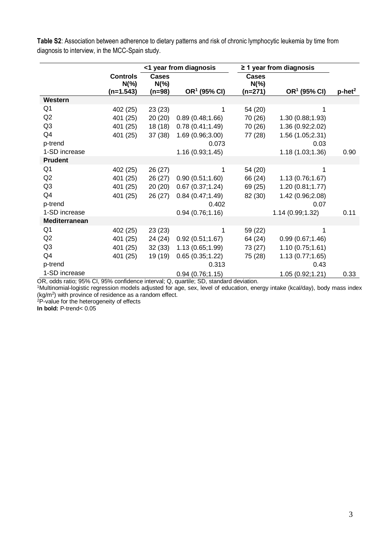**Table S2**: Association between adherence to dietary patterns and risk of chronic lymphocytic leukemia by time from diagnosis to interview, in the MCC-Spain study.

|                |                                          | <1 year from diagnosis             |                          | $\geq$ 1 year from diagnosis        |                          |                       |
|----------------|------------------------------------------|------------------------------------|--------------------------|-------------------------------------|--------------------------|-----------------------|
|                | <b>Controls</b><br>$N(\% )$<br>(n=1.543) | <b>Cases</b><br>$N(\% )$<br>(n=98) | OR <sup>1</sup> (95% CI) | <b>Cases</b><br>$N(\% )$<br>(n=271) | OR <sup>1</sup> (95% CI) | $p$ -het <sup>2</sup> |
| Western        |                                          |                                    |                          |                                     |                          |                       |
| Q1             | 402 (25)                                 | 23(23)                             | 1                        | 54 (20)                             | 1                        |                       |
| Q <sub>2</sub> | 401 (25)                                 | 20(20)                             | 0.89(0.48;1.66)          | 70 (26)                             | 1.30 (0.88;1.93)         |                       |
| Q <sub>3</sub> | 401 (25)                                 | 18(18)                             | 0.78(0.41;1.49)          | 70 (26)                             | 1.36 (0.92;2.02)         |                       |
| Q4             | 401 (25)                                 | 37(38)                             | 1.69 (0.96;3.00)         | 77 (28)                             | 1.56 (1.05;2.31)         |                       |
| p-trend        |                                          |                                    | 0.073                    |                                     | 0.03                     |                       |
| 1-SD increase  |                                          |                                    | 1.16 (0.93;1.45)         |                                     | 1.18 (1.03;1.36)         | 0.90                  |
| <b>Prudent</b> |                                          |                                    |                          |                                     |                          |                       |
| Q <sub>1</sub> | 402 (25)                                 | 26(27)                             |                          | 54 (20)                             | 1                        |                       |
| Q2             | 401 (25)                                 | 26(27)                             | 0.90(0.51;1.60)          | 66 (24)                             | 1.13 (0.76;1.67)         |                       |
| Q <sub>3</sub> | 401 (25)                                 | 20(20)                             | 0.67(0.37;1.24)          | 69 (25)                             | 1.20 (0.81;1.77)         |                       |
| Q4             | 401 (25)                                 | 26 (27)                            | 0.84(0.47;1.49)          | 82 (30)                             | 1.42 (0.96;2.08)         |                       |
| p-trend        |                                          |                                    | 0.402                    |                                     | 0.07                     |                       |
| 1-SD increase  |                                          |                                    | 0.94(0.76;1.16)          |                                     | 1.14 (0.99;1.32)         | 0.11                  |
| Mediterranean  |                                          |                                    |                          |                                     |                          |                       |
| Q <sub>1</sub> | 402 (25)                                 | 23(23)                             | 1                        | 59 (22)                             | 1                        |                       |
| Q <sub>2</sub> | 401 (25)                                 | 24 (24)                            | 0.92(0.51;1.67)          | 64 (24)                             | 0.99(0.67;1.46)          |                       |
| Q <sub>3</sub> | 401 (25)                                 | 32(33)                             | 1.13 (0.65;1.99)         | 73 (27)                             | 1.10(0.75;1.61)          |                       |
| Q4             | 401 (25)                                 | 19 (19)                            | 0.65(0.35;1.22)          | 75 (28)                             | 1.13(0.77;1.65)          |                       |
| p-trend        |                                          |                                    | 0.313                    |                                     | 0.43                     |                       |
| 1-SD increase  |                                          |                                    | 0.94(0.76;1.15)          |                                     | 1.05 (0.92;1.21)         | 0.33                  |

OR, odds ratio; 95% CI, 95% confidence interval; Q, quartile; SD, standard deviation.

<sup>1</sup>Multinomial-logistic regression models adjusted for age, sex, level of education, energy intake (kcal/day), body mass index (kg/m<sup>2</sup> ) with province of residence as a random effect.

<sup>2</sup>P-value for the heterogeneity of effects

**In bold:** P-trend< 0.05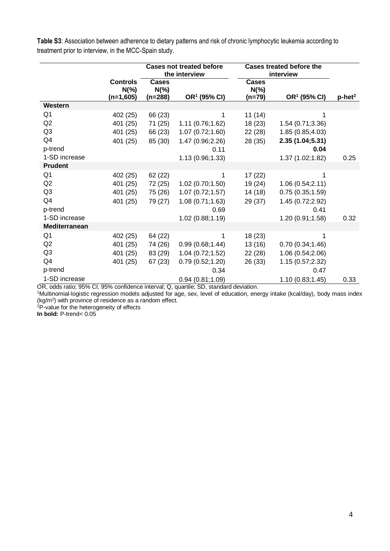|                                                                                                     |                                            | <b>Cases not treated before</b><br>the interview |                           | <b>Cases treated before the</b><br>interview |                          |                       |
|-----------------------------------------------------------------------------------------------------|--------------------------------------------|--------------------------------------------------|---------------------------|----------------------------------------------|--------------------------|-----------------------|
|                                                                                                     | <b>Controls</b><br>$N(\% )$<br>$(n=1,605)$ | <b>Cases</b><br>$N(\%)$<br>(n=288)               | OR <sup>1</sup> (95% CI)  | <b>Cases</b><br>$N(\% )$<br>(n=79)           | OR <sup>1</sup> (95% CI) | $p$ -het <sup>2</sup> |
| Western                                                                                             |                                            |                                                  |                           |                                              |                          |                       |
| Q <sub>1</sub>                                                                                      | 402 (25)                                   | 66 (23)                                          | 1                         | 11(14)                                       | 1                        |                       |
| Q2                                                                                                  | 401 (25)                                   | 71 (25)                                          | 1.11(0.76;1.62)           | 18 (23)                                      | 1.54 (0.71;3.36)         |                       |
| Q <sub>3</sub>                                                                                      | 401 (25)                                   | 66 (23)                                          | 1.07(0.72;1.60)           | 22 (28)                                      | 1.85 (0.85;4.03)         |                       |
| Q4                                                                                                  | 401 (25)                                   | 85 (30)                                          | 1.47 (0.96;2.26)          | 28 (35)                                      | 2.35 (1.04;5.31)         |                       |
| p-trend                                                                                             |                                            |                                                  | 0.11                      |                                              | 0.04                     |                       |
| 1-SD increase                                                                                       |                                            |                                                  | 1.13 (0.96;1.33)          |                                              | 1.37 (1.02;1.82)         | 0.25                  |
| <b>Prudent</b>                                                                                      |                                            |                                                  |                           |                                              |                          |                       |
| Q1                                                                                                  | 402 (25)                                   | 62 (22)                                          | 1                         | 17 (22)                                      | 1                        |                       |
| Q <sub>2</sub>                                                                                      | 401 (25)                                   | 72 (25)                                          | 1.02(0.70;1.50)           | 19 (24)                                      | 1.06 (0.54;2.11)         |                       |
| Q <sub>3</sub>                                                                                      | 401 (25)                                   | 75 (26)                                          | 1.07(0.72;1.57)           | 14 (18)                                      | 0.75(0.35;1.59)          |                       |
| Q4                                                                                                  | 401 (25)                                   | 79 (27)                                          | 1.08(0.71;1.63)           | 29 (37)                                      | 1.45 (0.72;2.92)         |                       |
| p-trend                                                                                             |                                            |                                                  | 0.69                      |                                              | 0.41                     |                       |
| 1-SD increase                                                                                       |                                            |                                                  | 1.02 (0.88;1.19)          |                                              | 1.20 (0.91;1.58)         | 0.32                  |
| <b>Mediterranean</b>                                                                                |                                            |                                                  |                           |                                              |                          |                       |
| Q <sub>1</sub>                                                                                      | 402 (25)                                   | 64 (22)                                          | 1                         | 18 (23)                                      | 1                        |                       |
| Q <sub>2</sub>                                                                                      | 401 (25)                                   | 74 (26)                                          | 0.99(0.68; 1.44)          | 13(16)                                       | 0.70(0.34;1.46)          |                       |
| Q3                                                                                                  | 401 (25)                                   | 83 (29)                                          | 1.04(0.72;1.52)           | 22(28)                                       | 1.06 (0.54;2.06)         |                       |
| Q4                                                                                                  | 401 (25)                                   | 67 (23)                                          | 0.79(0.52;1.20)           | 26 (33)                                      | 1.15 (0.57;2.32)         |                       |
| p-trend                                                                                             |                                            |                                                  | 0.34                      |                                              | 0.47                     |                       |
| 1-SD increase<br>$\mathcal{L}$ . $\mathcal{L}$ and $\mathcal{L}$ and $\mathcal{L}$<br>$-1$ $-1$ $-$ | $f^* = 1$                                  |                                                  | 0.94(0.81;1.09)<br>$\sim$ |                                              | 1.10(0.83;1.45)          | 0.33                  |

**Table S3**: Association between adherence to dietary patterns and risk of chronic lymphocytic leukemia according to treatment prior to interview, in the MCC-Spain study.

OR, odds ratio; 95% CI, 95% confidence interval; Q, quartile; SD, standard deviation.

<sup>1</sup>Multinomial-logistic regression models adjusted for age, sex, level of education, energy intake (kcal/day), body mass index (kg/m<sup>2</sup> ) with province of residence as a random effect.

<sup>2</sup>P-value for the heterogeneity of effects

**In bold:** P-trend< 0.05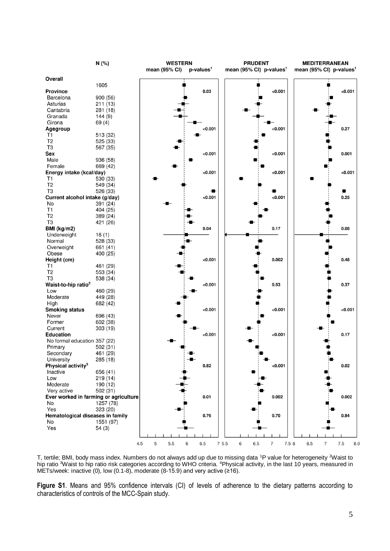

T, tertile; BMI, body mass index. Numbers do not always add up due to missing data <sup>1</sup>P value for heterogeneity <sup>2</sup>Waist to hip ratio <sup>3</sup>Waist to hip ratio risk categories according to WHO criteria. <sup>4</sup>Physical activity, in the last 10 years, measured in METs/week: inactive (0), low (0.1-8), moderate (8-15.9) and very active (≥16).

**Figure S1**. Means and 95% confidence intervals (CI) of levels of adherence to the dietary patterns according to characteristics of controls of the MCC-Spain study.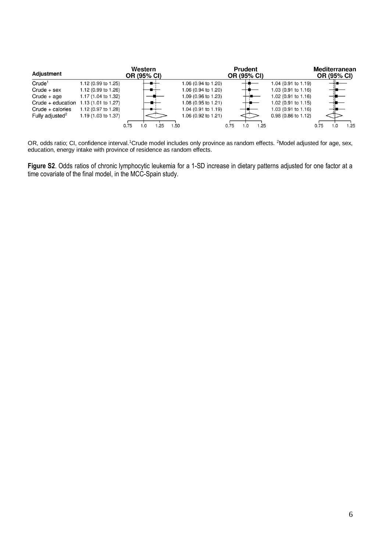| Adjustment                  |                     | Western<br>OR (95% CI) |     | <b>Prudent</b><br>OR (95% CI) | <b>Mediterranean</b><br>OR (95% CI) |                                |             |      |
|-----------------------------|---------------------|------------------------|-----|-------------------------------|-------------------------------------|--------------------------------|-------------|------|
| Crude <sup>1</sup>          | 1.12 (0.99 to 1.25) |                        |     | 1.06 (0.94 to 1.20)           |                                     | 1.04 (0.91 to 1.19)            |             |      |
| $Crude + sex$               | 1.12 (0.99 to 1.26) |                        |     | 1.06 (0.94 to 1.20)           |                                     | 1.03 $(0.91 \text{ to } 1.16)$ |             |      |
| $Crude + age$               | 1.17 (1.04 to 1.32) |                        |     | 1.09 (0.96 to 1.23)           |                                     | 1.02 (0.91 to 1.16)            |             |      |
| Crude $+$ education         | 1.13 (1.01 to 1.27) |                        |     | 1.08 (0.95 to 1.21)           |                                     | 1.02 $(0.91 \text{ to } 1.15)$ |             |      |
| $Crude + calories$          | 1.12 (0.97 to 1.28) |                        |     | 1.04 (0.91 to 1.19)           |                                     | $1.03(0.91 \text{ to } 1.16)$  |             |      |
| Fully adjusted <sup>2</sup> | 1.19 (1.03 to 1.37) |                        |     | 1.06 (0.92 to 1.21)           | $\sim$                              | $0.98(0.86 \text{ to } 1.12)$  |             |      |
|                             |                     | 0.75<br>.0             | .25 | .50                           | .25<br>0.75<br>l .0                 |                                | 0.75<br>1.0 | 1.25 |

OR, odds ratio; CI, confidence interval.<sup>1</sup>Crude model includes only province as random effects. <sup>2</sup>Model adjusted for age, sex, education, energy intake with province of residence as random effects.

**Figure S2**. Odds ratios of chronic lymphocytic leukemia for a 1-SD increase in dietary patterns adjusted for one factor at a time covariate of the final model, in the MCC-Spain study.